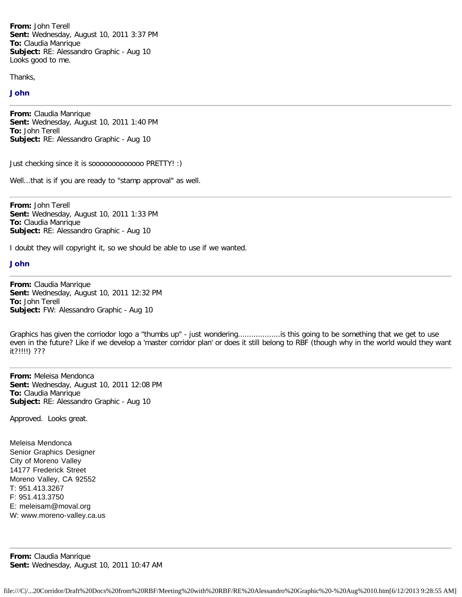**From:** John Terell **Sent:** Wednesday, August 10, 2011 3:37 PM **To:** Claudia Manrique **Subject:** RE: Alessandro Graphic - Aug 10 Looks good to me.

Thanks,

## John

**From:** Claudia Manrique **Sent:** Wednesday, August 10, 2011 1:40 PM **To:** John Terell **Subject:** RE: Alessandro Graphic - Aug 10

Just checking since it is sooooooooooooo PRETTY! :)

Well...that is if you are ready to "stamp approval" as well.

**From:** John Terell **Sent:** Wednesday, August 10, 2011 1:33 PM **To:** Claudia Manrique **Subject:** RE: Alessandro Graphic - Aug 10

I doubt they will copyright it, so we should be able to use if we wanted.

## John

**From:** Claudia Manrique **Sent:** Wednesday, August 10, 2011 12:32 PM **To:** John Terell **Subject:** FW: Alessandro Graphic - Aug 10

Graphics has given the corriodor logo a "thumbs up" - just wondering...................is this going to be something that we get to use even in the future? Like if we develop a 'master corridor plan' or does it still belong to RBF (though why in the world would they want it?!!!!) ???

**From:** Meleisa Mendonca **Sent:** Wednesday, August 10, 2011 12:08 PM **To:** Claudia Manrique **Subject:** RE: Alessandro Graphic - Aug 10

Approved. Looks great.

Meleisa Mendonca Senior Graphics Designer City of Moreno Valley 14177 Frederick Street Moreno Valley, CA 92552 T: 951.413.3267 F: 951.413.3750 E: meleisam@moval.org W: www.moreno-valley.ca.us

**From:** Claudia Manrique **Sent:** Wednesday, August 10, 2011 10:47 AM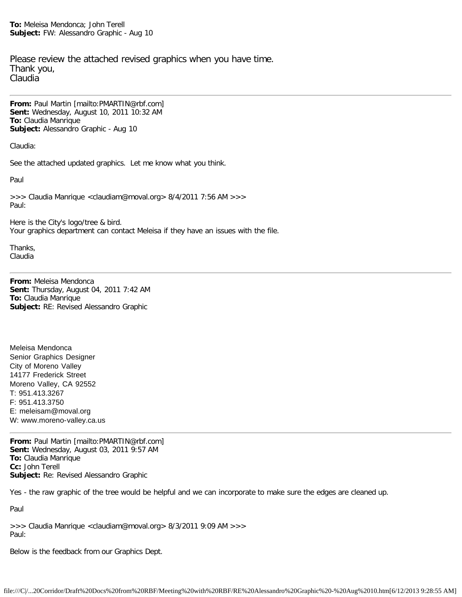**To:** Meleisa Mendonca; John Terell **Subject:** FW: Alessandro Graphic - Aug 10

Please review the attached revised graphics when you have time. Thank you, Claudia

**From:** Paul Martin [mailto:PMARTIN@rbf.com] **Sent:** Wednesday, August 10, 2011 10:32 AM **To:** Claudia Manrique **Subject:** Alessandro Graphic - Aug 10

Claudia:

See the attached updated graphics. Let me know what you think.

Paul

>>> Claudia Manrique <claudiam@moval.org> 8/4/2011 7:56 AM >>> Paul:

Here is the City's logo/tree & bird. Your graphics department can contact Meleisa if they have an issues with the file.

Thanks, Claudia

**From:** Meleisa Mendonca **Sent:** Thursday, August 04, 2011 7:42 AM **To:** Claudia Manrique **Subject:** RE: Revised Alessandro Graphic

Meleisa Mendonca Senior Graphics Designer City of Moreno Valley 14177 Frederick Street Moreno Valley, CA 92552 T: 951.413.3267 F: 951.413.3750 E: meleisam@moval.org W: www.moreno-valley.ca.us

**From:** Paul Martin [mailto:PMARTIN@rbf.com] **Sent:** Wednesday, August 03, 2011 9:57 AM **To:** Claudia Manrique **Cc:** John Terell **Subject:** Re: Revised Alessandro Graphic

Yes - the raw graphic of the tree would be helpful and we can incorporate to make sure the edges are cleaned up.

Paul

>>> Claudia Manrique <claudiam@moval.org> 8/3/2011 9:09 AM >>> Paul:

Below is the feedback from our Graphics Dept.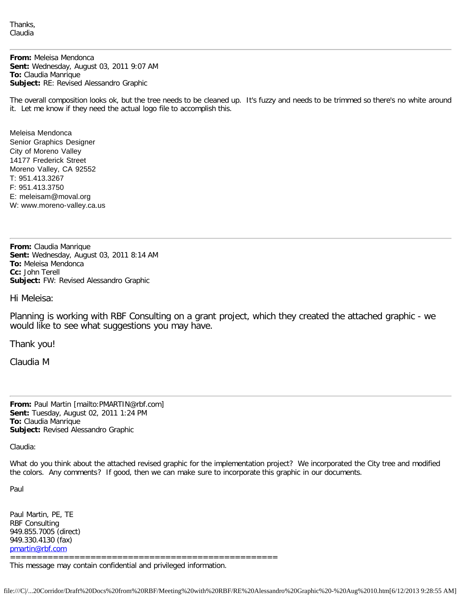Thanks, Claudia

**From:** Meleisa Mendonca **Sent:** Wednesday, August 03, 2011 9:07 AM **To:** Claudia Manrique **Subject:** RE: Revised Alessandro Graphic

The overall composition looks ok, but the tree needs to be cleaned up. It's fuzzy and needs to be trimmed so there's no white around it. Let me know if they need the actual logo file to accomplish this.

Meleisa Mendonca Senior Graphics Designer City of Moreno Valley 14177 Frederick Street Moreno Valley, CA 92552 T: 951.413.3267 F: 951.413.3750 E: meleisam@moval.org W: www.moreno-valley.ca.us

**From:** Claudia Manrique **Sent:** Wednesday, August 03, 2011 8:14 AM **To:** Meleisa Mendonca **Cc:** John Terell **Subject:** FW: Revised Alessandro Graphic

Hi Meleisa:

Planning is working with RBF Consulting on a grant project, which they created the attached graphic - we would like to see what suggestions you may have.

Thank you!

Claudia M

**From:** Paul Martin [mailto:PMARTIN@rbf.com] **Sent:** Tuesday, August 02, 2011 1:24 PM **To:** Claudia Manrique **Subject:** Revised Alessandro Graphic

Claudia:

What do you think about the attached revised graphic for the implementation project? We incorporated the City tree and modified the colors. Any comments? If good, then we can make sure to incorporate this graphic in our documents.

Paul

Paul Martin, PE, TE RBF Consulting 949.855.7005 (direct) 949.330.4130 (fax) [pmartin@rbf.com](mailto:pmartin@rbf.com)

==================================================

This message may contain confidential and privileged information.